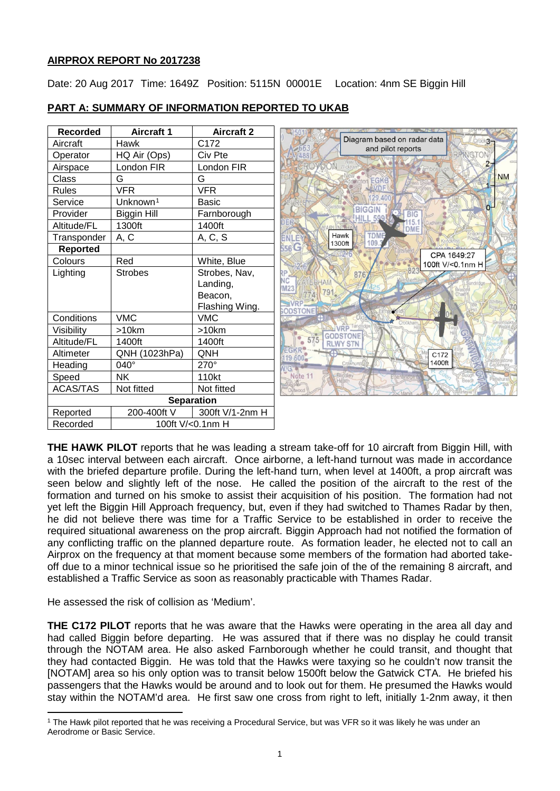# **AIRPROX REPORT No 2017238**

Date: 20 Aug 2017 Time: 1649Z Position: 5115N 00001E Location: 4nm SE Biggin Hill

| <b>Recorded</b> | <b>Aircraft 1</b>    | <b>Aircraft 2</b> |  |  |  |  |  |
|-----------------|----------------------|-------------------|--|--|--|--|--|
| Aircraft        | Hawk                 | C <sub>172</sub>  |  |  |  |  |  |
| Operator        | HQ Air (Ops)         | Civ Pte           |  |  |  |  |  |
| Airspace        | London FIR           | London FIR        |  |  |  |  |  |
| Class           | G                    | G                 |  |  |  |  |  |
| Rules           | VFR                  | VFR               |  |  |  |  |  |
| Service         | Unknown <sup>1</sup> | Basic             |  |  |  |  |  |
| Provider        | Biggin Hill          | Farnborough       |  |  |  |  |  |
| Altitude/FL     | 1300ft               | 1400ft            |  |  |  |  |  |
| Transponder     | A, C                 | A, C, S           |  |  |  |  |  |
| <b>Reported</b> |                      |                   |  |  |  |  |  |
| Colours         | Red                  | White, Blue       |  |  |  |  |  |
| Lighting        | <b>Strobes</b>       | Strobes, Nav,     |  |  |  |  |  |
|                 |                      | Landing,          |  |  |  |  |  |
|                 |                      | Beacon,           |  |  |  |  |  |
|                 |                      | Flashing Wing.    |  |  |  |  |  |
| Conditions      | <b>VMC</b>           | <b>VMC</b>        |  |  |  |  |  |
| Visibility      | >10km                | >10km             |  |  |  |  |  |
| Altitude/FL     | 1400ft               | 1400ft            |  |  |  |  |  |
| Altimeter       | QNH (1023hPa)        | <b>ONH</b>        |  |  |  |  |  |
| Heading         | 040°                 | $270^\circ$       |  |  |  |  |  |
| Speed           | ΝK                   | 110kt             |  |  |  |  |  |
| <b>ACAS/TAS</b> | Not fitted           | Not fitted        |  |  |  |  |  |
|                 | <b>Separation</b>    |                   |  |  |  |  |  |
| Reported        | 200-400ft V          | 300ft V/1-2nm H   |  |  |  |  |  |
| Recorded        | 100ft V/<0.1nm H     |                   |  |  |  |  |  |

# **PART A: SUMMARY OF INFORMATION REPORTED TO UKAB**



**THE HAWK PILOT** reports that he was leading a stream take-off for 10 aircraft from Biggin Hill, with a 10sec interval between each aircraft. Once airborne, a left-hand turnout was made in accordance with the briefed departure profile. During the left-hand turn, when level at 1400ft, a prop aircraft was seen below and slightly left of the nose. He called the position of the aircraft to the rest of the formation and turned on his smoke to assist their acquisition of his position. The formation had not yet left the Biggin Hill Approach frequency, but, even if they had switched to Thames Radar by then, he did not believe there was time for a Traffic Service to be established in order to receive the required situational awareness on the prop aircraft. Biggin Approach had not notified the formation of any conflicting traffic on the planned departure route. As formation leader, he elected not to call an Airprox on the frequency at that moment because some members of the formation had aborted takeoff due to a minor technical issue so he prioritised the safe join of the of the remaining 8 aircraft, and established a Traffic Service as soon as reasonably practicable with Thames Radar.

He assessed the risk of collision as 'Medium'.

l

**THE C172 PILOT** reports that he was aware that the Hawks were operating in the area all day and had called Biggin before departing. He was assured that if there was no display he could transit through the NOTAM area. He also asked Farnborough whether he could transit, and thought that they had contacted Biggin. He was told that the Hawks were taxying so he couldn't now transit the [NOTAM] area so his only option was to transit below 1500ft below the Gatwick CTA. He briefed his passengers that the Hawks would be around and to look out for them. He presumed the Hawks would stay within the NOTAM'd area. He first saw one cross from right to left, initially 1-2nm away, it then

<span id="page-0-0"></span><sup>1</sup> The Hawk pilot reported that he was receiving a Procedural Service, but was VFR so it was likely he was under an Aerodrome or Basic Service.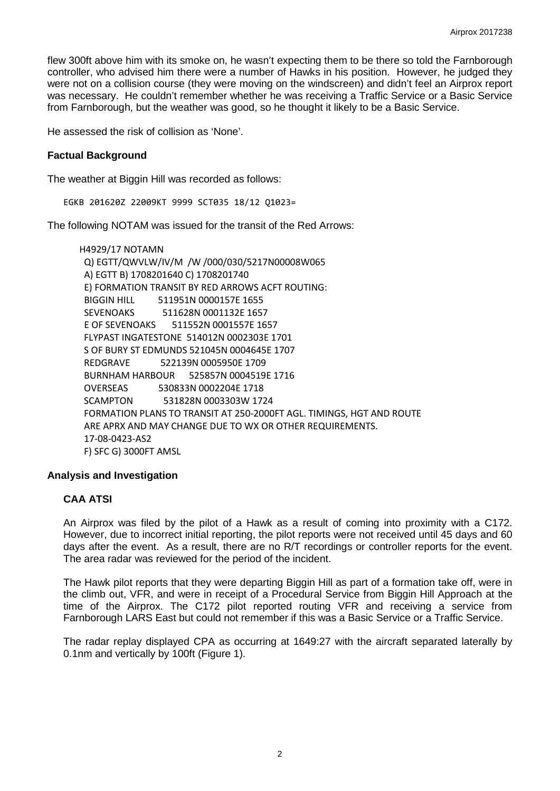flew 300ft above him with its smoke on, he wasn't expecting them to be there so told the Farnborough controller, who advised him there were a number of Hawks in his position. However, he judged they were not on a collision course (they were moving on the windscreen) and didn't feel an Airprox report was necessary. He couldn't remember whether he was receiving a Traffic Service or a Basic Service from Farnborough, but the weather was good, so he thought it likely to be a Basic Service.

He assessed the risk of collision as 'None'.

## **Factual Background**

The weather at Biggin Hill was recorded as follows:

EGKB 201620Z 22009KT 9999 SCT035 18/12 Q1023=

The following NOTAM was issued for the transit of the Red Arrows:

H4929/17 NOTAMN Q) EGTT/QWVLW/IV/M /W /000/030/5217N00008W065 A) EGTT B) 1708201640 C) 1708201740 E) FORMATION TRANSIT BY RED ARROWS ACFT ROUTING: BIGGIN HILL 511951N 0000157E 1655 SEVENOAKS 511628N 0001132E 1657 E OF SEVENOAKS 511552N 0001557E 1657 FLYPAST INGATESTONE 514012N 0002303E 1701 S OF BURY ST EDMUNDS 521045N 0004645E 1707 REDGRAVE 522139N 0005950E 1709 BURNHAM HARBOUR 525857N 0004519E 1716 OVERSEAS 530833N 0002204E 1718 SCAMPTON 531828N 0003303W 1724 FORMATION PLANS TO TRANSIT AT 250-2000FT AGL. TIMINGS, HGT AND ROUTE ARE APRX AND MAY CHANGE DUE TO WX OR OTHER REQUIREMENTS. 17-08-0423-AS2 F) SFC G) 3000FT AMSL

## **Analysis and Investigation**

## **CAA ATSI**

An Airprox was filed by the pilot of a Hawk as a result of coming into proximity with a C172. However, due to incorrect initial reporting, the pilot reports were not received until 45 days and 60 days after the event. As a result, there are no R/T recordings or controller reports for the event. The area radar was reviewed for the period of the incident.

The Hawk pilot reports that they were departing Biggin Hill as part of a formation take off, were in the climb out, VFR, and were in receipt of a Procedural Service from Biggin Hill Approach at the time of the Airprox. The C172 pilot reported routing VFR and receiving a service from Farnborough LARS East but could not remember if this was a Basic Service or a Traffic Service.

The radar replay displayed CPA as occurring at 1649:27 with the aircraft separated laterally by 0.1nm and vertically by 100ft (Figure 1).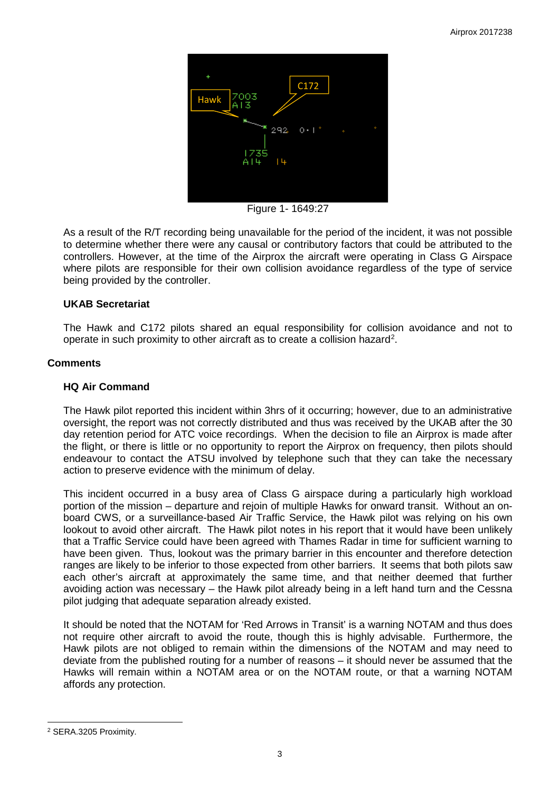

Figure 1- 1649:27

As a result of the R/T recording being unavailable for the period of the incident, it was not possible to determine whether there were any causal or contributory factors that could be attributed to the controllers. However, at the time of the Airprox the aircraft were operating in Class G Airspace where pilots are responsible for their own collision avoidance regardless of the type of service being provided by the controller.

# **UKAB Secretariat**

The Hawk and C172 pilots shared an equal responsibility for collision avoidance and not to operate in such proximity to other aircraft as to create a collision hazard<sup>[2](#page-2-0)</sup>.

## **Comments**

#### **HQ Air Command**

The Hawk pilot reported this incident within 3hrs of it occurring; however, due to an administrative oversight, the report was not correctly distributed and thus was received by the UKAB after the 30 day retention period for ATC voice recordings. When the decision to file an Airprox is made after the flight, or there is little or no opportunity to report the Airprox on frequency, then pilots should endeavour to contact the ATSU involved by telephone such that they can take the necessary action to preserve evidence with the minimum of delay.

This incident occurred in a busy area of Class G airspace during a particularly high workload portion of the mission – departure and reioin of multiple Hawks for onward transit. Without an onboard CWS, or a surveillance-based Air Traffic Service, the Hawk pilot was relying on his own lookout to avoid other aircraft. The Hawk pilot notes in his report that it would have been unlikely that a Traffic Service could have been agreed with Thames Radar in time for sufficient warning to have been given. Thus, lookout was the primary barrier in this encounter and therefore detection ranges are likely to be inferior to those expected from other barriers. It seems that both pilots saw each other's aircraft at approximately the same time, and that neither deemed that further avoiding action was necessary – the Hawk pilot already being in a left hand turn and the Cessna pilot judging that adequate separation already existed.

It should be noted that the NOTAM for 'Red Arrows in Transit' is a warning NOTAM and thus does not require other aircraft to avoid the route, though this is highly advisable. Furthermore, the Hawk pilots are not obliged to remain within the dimensions of the NOTAM and may need to deviate from the published routing for a number of reasons – it should never be assumed that the Hawks will remain within a NOTAM area or on the NOTAM route, or that a warning NOTAM affords any protection.

 $\overline{\phantom{a}}$ 

<span id="page-2-0"></span><sup>2</sup> SERA.3205 Proximity.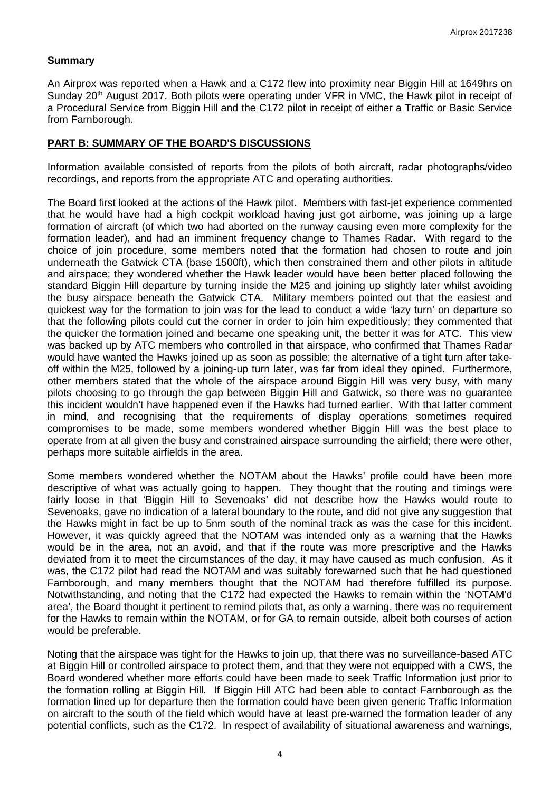## **Summary**

An Airprox was reported when a Hawk and a C172 flew into proximity near Biggin Hill at 1649hrs on Sunday 20<sup>th</sup> August 2017. Both pilots were operating under VFR in VMC, the Hawk pilot in receipt of a Procedural Service from Biggin Hill and the C172 pilot in receipt of either a Traffic or Basic Service from Farnborough.

## **PART B: SUMMARY OF THE BOARD'S DISCUSSIONS**

Information available consisted of reports from the pilots of both aircraft, radar photographs/video recordings, and reports from the appropriate ATC and operating authorities.

The Board first looked at the actions of the Hawk pilot. Members with fast-jet experience commented that he would have had a high cockpit workload having just got airborne, was joining up a large formation of aircraft (of which two had aborted on the runway causing even more complexity for the formation leader), and had an imminent frequency change to Thames Radar. With regard to the choice of join procedure, some members noted that the formation had chosen to route and join underneath the Gatwick CTA (base 1500ft), which then constrained them and other pilots in altitude and airspace; they wondered whether the Hawk leader would have been better placed following the standard Biggin Hill departure by turning inside the M25 and joining up slightly later whilst avoiding the busy airspace beneath the Gatwick CTA. Military members pointed out that the easiest and quickest way for the formation to join was for the lead to conduct a wide 'lazy turn' on departure so that the following pilots could cut the corner in order to join him expeditiously; they commented that the quicker the formation joined and became one speaking unit, the better it was for ATC. This view was backed up by ATC members who controlled in that airspace, who confirmed that Thames Radar would have wanted the Hawks joined up as soon as possible; the alternative of a tight turn after takeoff within the M25, followed by a joining-up turn later, was far from ideal they opined. Furthermore, other members stated that the whole of the airspace around Biggin Hill was very busy, with many pilots choosing to go through the gap between Biggin Hill and Gatwick, so there was no guarantee this incident wouldn't have happened even if the Hawks had turned earlier. With that latter comment in mind, and recognising that the requirements of display operations sometimes required compromises to be made, some members wondered whether Biggin Hill was the best place to operate from at all given the busy and constrained airspace surrounding the airfield; there were other, perhaps more suitable airfields in the area.

Some members wondered whether the NOTAM about the Hawks' profile could have been more descriptive of what was actually going to happen. They thought that the routing and timings were fairly loose in that 'Biggin Hill to Sevenoaks' did not describe how the Hawks would route to Sevenoaks, gave no indication of a lateral boundary to the route, and did not give any suggestion that the Hawks might in fact be up to 5nm south of the nominal track as was the case for this incident. However, it was quickly agreed that the NOTAM was intended only as a warning that the Hawks would be in the area, not an avoid, and that if the route was more prescriptive and the Hawks deviated from it to meet the circumstances of the day, it may have caused as much confusion. As it was, the C172 pilot had read the NOTAM and was suitably forewarned such that he had questioned Farnborough, and many members thought that the NOTAM had therefore fulfilled its purpose. Notwithstanding, and noting that the C172 had expected the Hawks to remain within the 'NOTAM'd area', the Board thought it pertinent to remind pilots that, as only a warning, there was no requirement for the Hawks to remain within the NOTAM, or for GA to remain outside, albeit both courses of action would be preferable.

Noting that the airspace was tight for the Hawks to join up, that there was no surveillance-based ATC at Biggin Hill or controlled airspace to protect them, and that they were not equipped with a CWS, the Board wondered whether more efforts could have been made to seek Traffic Information just prior to the formation rolling at Biggin Hill. If Biggin Hill ATC had been able to contact Farnborough as the formation lined up for departure then the formation could have been given generic Traffic Information on aircraft to the south of the field which would have at least pre-warned the formation leader of any potential conflicts, such as the C172. In respect of availability of situational awareness and warnings,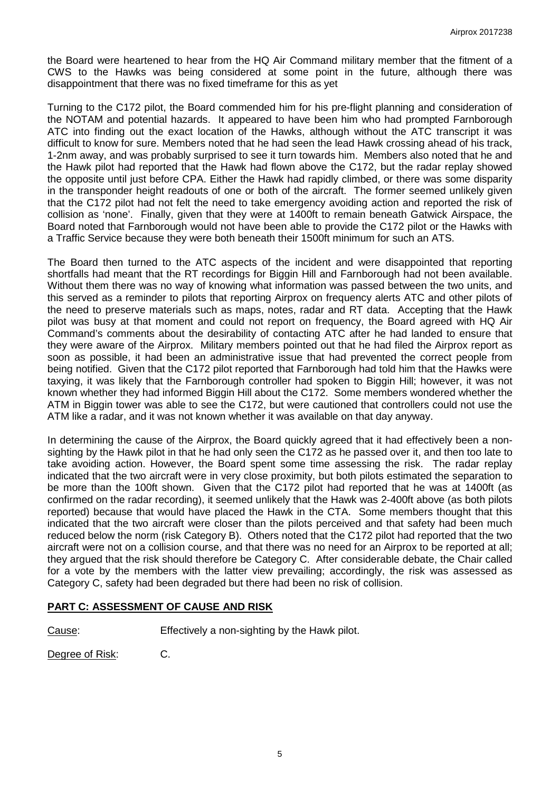the Board were heartened to hear from the HQ Air Command military member that the fitment of a CWS to the Hawks was being considered at some point in the future, although there was disappointment that there was no fixed timeframe for this as yet

Turning to the C172 pilot, the Board commended him for his pre-flight planning and consideration of the NOTAM and potential hazards. It appeared to have been him who had prompted Farnborough ATC into finding out the exact location of the Hawks, although without the ATC transcript it was difficult to know for sure. Members noted that he had seen the lead Hawk crossing ahead of his track, 1-2nm away, and was probably surprised to see it turn towards him. Members also noted that he and the Hawk pilot had reported that the Hawk had flown above the C172, but the radar replay showed the opposite until just before CPA. Either the Hawk had rapidly climbed, or there was some disparity in the transponder height readouts of one or both of the aircraft. The former seemed unlikely given that the C172 pilot had not felt the need to take emergency avoiding action and reported the risk of collision as 'none'. Finally, given that they were at 1400ft to remain beneath Gatwick Airspace, the Board noted that Farnborough would not have been able to provide the C172 pilot or the Hawks with a Traffic Service because they were both beneath their 1500ft minimum for such an ATS.

The Board then turned to the ATC aspects of the incident and were disappointed that reporting shortfalls had meant that the RT recordings for Biggin Hill and Farnborough had not been available. Without them there was no way of knowing what information was passed between the two units, and this served as a reminder to pilots that reporting Airprox on frequency alerts ATC and other pilots of the need to preserve materials such as maps, notes, radar and RT data. Accepting that the Hawk pilot was busy at that moment and could not report on frequency, the Board agreed with HQ Air Command's comments about the desirability of contacting ATC after he had landed to ensure that they were aware of the Airprox. Military members pointed out that he had filed the Airprox report as soon as possible, it had been an administrative issue that had prevented the correct people from being notified. Given that the C172 pilot reported that Farnborough had told him that the Hawks were taxying, it was likely that the Farnborough controller had spoken to Biggin Hill; however, it was not known whether they had informed Biggin Hill about the C172. Some members wondered whether the ATM in Biggin tower was able to see the C172, but were cautioned that controllers could not use the ATM like a radar, and it was not known whether it was available on that day anyway.

In determining the cause of the Airprox, the Board quickly agreed that it had effectively been a nonsighting by the Hawk pilot in that he had only seen the C172 as he passed over it, and then too late to take avoiding action. However, the Board spent some time assessing the risk. The radar replay indicated that the two aircraft were in very close proximity, but both pilots estimated the separation to be more than the 100ft shown. Given that the C172 pilot had reported that he was at 1400ft (as confirmed on the radar recording), it seemed unlikely that the Hawk was 2-400ft above (as both pilots reported) because that would have placed the Hawk in the CTA. Some members thought that this indicated that the two aircraft were closer than the pilots perceived and that safety had been much reduced below the norm (risk Category B). Others noted that the C172 pilot had reported that the two aircraft were not on a collision course, and that there was no need for an Airprox to be reported at all; they argued that the risk should therefore be Category C. After considerable debate, the Chair called for a vote by the members with the latter view prevailing; accordingly, the risk was assessed as Category C, safety had been degraded but there had been no risk of collision.

# **PART C: ASSESSMENT OF CAUSE AND RISK**

Cause: Effectively a non-sighting by the Hawk pilot.

Degree of Risk: C.